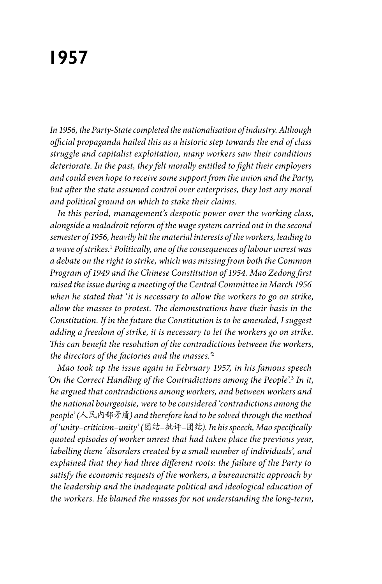## **1957**

*In 1956, the Party-State completed the nationalisation of industry. Although official propaganda hailed this as a historic step towards the end of class struggle and capitalist exploitation, many workers saw their conditions deteriorate. In the past, they felt morally entitled to fight their employers and could even hope to receive some support from the union and the Party, but after the state assumed control over enterprises, they lost any moral and political ground on which to stake their claims.* 

*In this period, management's despotic power over the working class, alongside a maladroit reform of the wage system carried out in the second semester of 1956, heavily hit the material interests of the workers, leading to a wave of strikes.*<sup>1</sup>  *Politically, one of the consequences of labour unrest was a debate on the right to strike, which was missing from both the Common Program of 1949 and the Chinese Constitution of 1954. Mao Zedong first raised the issue during a meeting of the Central Committee in March 1956 when he stated that 'it is necessary to allow the workers to go on strike, allow the masses to protest. The demonstrations have their basis in the Constitution. If in the future the Constitution is to be amended, I suggest adding a freedom of strike, it is necessary to let the workers go on strike. This can benefit the resolution of the contradictions between the workers, the directors of the factories and the masses.'*<sup>2</sup>

*Mao took up the issue again in February 1957, in his famous speech 'On the Correct Handling of the Contradictions among the People'.*<sup>3</sup>  *In it, he argued that contradictions among workers, and between workers and the national bourgeoisie, were to be considered 'contradictions among the people' (*人民内部矛盾*) and therefore had to be solved through the method of 'unity–criticism–unity' (*团结*–*批评*–*团结*). In his speech, Mao specifically quoted episodes of worker unrest that had taken place the previous year, labelling them 'disorders created by a small number of individuals', and explained that they had three different roots: the failure of the Party to satisfy the economic requests of the workers, a bureaucratic approach by the leadership and the inadequate political and ideological education of the workers. He blamed the masses for not understanding the long-term,*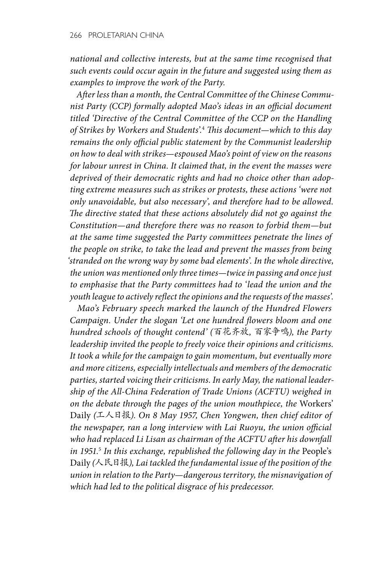*national and collective interests, but at the same time recognised that such events could occur again in the future and suggested using them as examples to improve the work of the Party.*

*After less than a month, the Central Committee of the Chinese Communist Party (CCP) formally adopted Mao's ideas in an official document titled 'Directive of the Central Committee of the CCP on the Handling of Strikes by Workers and Students'.*<sup>4</sup>  *This document—which to this day remains the only official public statement by the Communist leadership on how to deal with strikes—espoused Mao's point of view on the reasons for labour unrest in China. It claimed that, in the event the masses were deprived of their democratic rights and had no choice other than adopting extreme measures such as strikes or protests, these actions 'were not only unavoidable, but also necessary', and therefore had to be allowed. The directive stated that these actions absolutely did not go against the Constitution—and therefore there was no reason to forbid them—but at the same time suggested the Party committees penetrate the lines of the people on strike, to take the lead and prevent the masses from being 'stranded on the wrong way by some bad elements'. In the whole directive, the union was mentioned only three times—twice in passing and once just to emphasise that the Party committees had to 'lead the union and the youth league to actively reflect the opinions and the requests of the masses'.*

*Mao's February speech marked the launch of the Hundred Flowers Campaign. Under the slogan 'Let one hundred flowers bloom and one hundred schools of thought contend' (*百花齐放*,* 百家争鸣*), the Party leadership invited the people to freely voice their opinions and criticisms. It took a while for the campaign to gain momentum, but eventually more and more citizens, especially intellectuals and members of the democratic parties, started voicing their criticisms. In early May, the national leadership of the All-China Federation of Trade Unions (ACFTU) weighed in on the debate through the pages of the union mouthpiece, the* Workers' Daily *(*工人日报*). On 8 May 1957, Chen Yongwen, then chief editor of the newspaper, ran a long interview with Lai Ruoyu, the union official who had replaced Li Lisan as chairman of the ACFTU after his downfall in 1951.*<sup>5</sup>  *In this exchange, republished the following day in the* People's Daily *(*人民日报*), Lai tackled the fundamental issue of the position of the union in relation to the Party—dangerous territory, the misnavigation of which had led to the political disgrace of his predecessor.*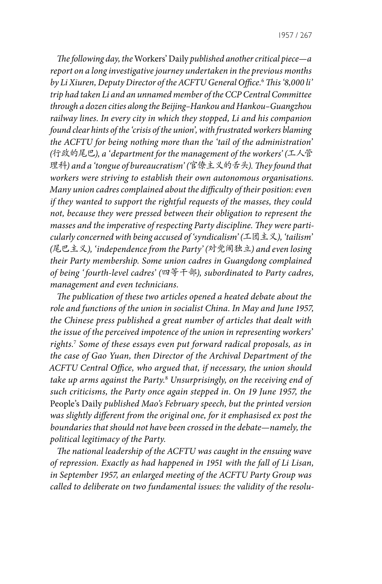*The following day, the* Workers' Daily *published another critical piece—a report on a long investigative journey undertaken in the previous months by Li Xiuren, Deputy Director of the ACFTU General Office.*<sup>6</sup>  *This '8,000 li' trip had taken Li and an unnamed member of the CCP Central Committee through a dozen cities along the Beijing–Hankou and Hankou–Guangzhou railway lines. In every city in which they stopped, Li and his companion found clear hints of the 'crisis of the union', with frustrated workers blaming the ACFTU for being nothing more than the 'tail of the administration' (*行政的尾巴*), a 'department for the management of the workers' (*工人管 理科*) and a 'tongue of bureaucratism' (*官僚主义的舌头*). They found that workers were striving to establish their own autonomous organisations. Many union cadres complained about the difficulty of their position: even if they wanted to support the rightful requests of the masses, they could not, because they were pressed between their obligation to represent the masses and the imperative of respecting Party discipline. They were particularly concerned with being accused of 'syndicalism' (*工团主义*), 'tailism' (*尾巴主义*), 'independence from the Party' (*对党闹独立*) and even losing their Party membership. Some union cadres in Guangdong complained of being ' fourth-level cadres' (*四等干部*), subordinated to Party cadres, management and even technicians.*

*The publication of these two articles opened a heated debate about the role and functions of the union in socialist China. In May and June 1957, the Chinese press published a great number of articles that dealt with the issue of the perceived impotence of the union in representing workers' rights.*<sup>7</sup>  *Some of these essays even put forward radical proposals, as in the case of Gao Yuan, then Director of the Archival Department of the ACFTU Central Office, who argued that, if necessary, the union should take up arms against the Party.*<sup>8</sup>  *Unsurprisingly, on the receiving end of such criticisms, the Party once again stepped in. On 19 June 1957, the*  People's Daily *published Mao's February speech, but the printed version was slightly different from the original one, for it emphasised ex post the boundaries that should not have been crossed in the debate—namely, the political legitimacy of the Party.* 

*The national leadership of the ACFTU was caught in the ensuing wave of repression. Exactly as had happened in 1951 with the fall of Li Lisan, in September 1957, an enlarged meeting of the ACFTU Party Group was called to deliberate on two fundamental issues: the validity of the resolu-*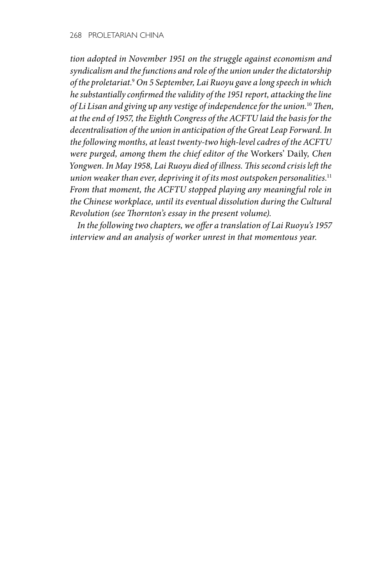*tion adopted in November 1951 on the struggle against economism and syndicalism and the functions and role of the union under the dictatorship of the proletariat.*<sup>9</sup>  *On 5 September, Lai Ruoyu gave a long speech in which he substantially confirmed the validity of the 1951 report, attacking the line of Li Lisan and giving up any vestige of independence for the union.*<sup>10</sup> *Then, at the end of 1957, the Eighth Congress of the ACFTU laid the basis for the decentralisation of the union in anticipation of the Great Leap Forward. In the following months, at least twenty-two high-level cadres of the ACFTU were purged, among them the chief editor of the* Workers' Daily*, Chen Yongwen. In May 1958, Lai Ruoyu died of illness. This second crisis left the union weaker than ever, depriving it of its most outspoken personalities.*<sup>11</sup> *From that moment, the ACFTU stopped playing any meaningful role in the Chinese workplace, until its eventual dissolution during the Cultural Revolution (see Thornton's essay in the present volume).*

*In the following two chapters, we offer a translation of Lai Ruoyu's 1957 interview and an analysis of worker unrest in that momentous year.*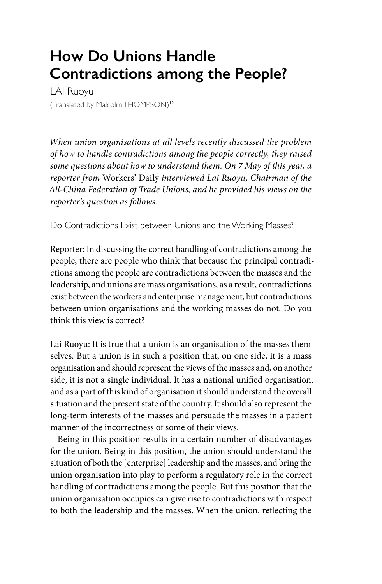## **How Do Unions Handle Contradictions among the People?**

LAI Ruoyu (Translated by Malcolm THOMPSON)<sup>12</sup>

*When union organisations at all levels recently discussed the problem of how to handle contradictions among the people correctly, they raised some questions about how to understand them. On 7 May of this year, a reporter from* Workers' Daily *interviewed Lai Ruoyu, Chairman of the All-China Federation of Trade Unions, and he provided his views on the reporter's question as follows.*

Do Contradictions Exist between Unions and the Working Masses?

Reporter: In discussing the correct handling of contradictions among the people, there are people who think that because the principal contradictions among the people are contradictions between the masses and the leadership, and unions are mass organisations, as a result, contradictions exist between the workers and enterprise management, but contradictions between union organisations and the working masses do not. Do you think this view is correct?

Lai Ruoyu: It is true that a union is an organisation of the masses themselves. But a union is in such a position that, on one side, it is a mass organisation and should represent the views of the masses and, on another side, it is not a single individual. It has a national unified organisation, and as a part of this kind of organisation it should understand the overall situation and the present state of the country. It should also represent the long-term interests of the masses and persuade the masses in a patient manner of the incorrectness of some of their views.

Being in this position results in a certain number of disadvantages for the union. Being in this position, the union should understand the situation of both the [enterprise] leadership and the masses, and bring the union organisation into play to perform a regulatory role in the correct handling of contradictions among the people. But this position that the union organisation occupies can give rise to contradictions with respect to both the leadership and the masses. When the union, reflecting the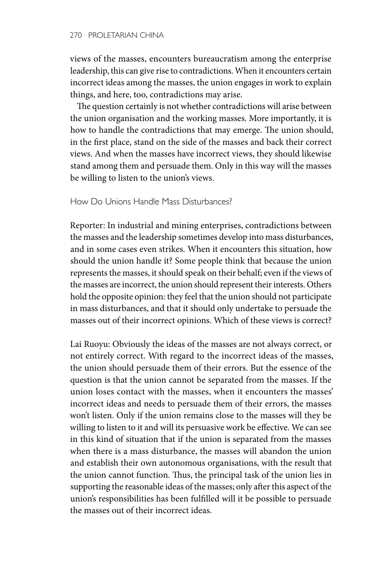views of the masses, encounters bureaucratism among the enterprise leadership, this can give rise to contradictions. When it encounters certain incorrect ideas among the masses, the union engages in work to explain things, and here, too, contradictions may arise.

The question certainly is not whether contradictions will arise between the union organisation and the working masses. More importantly, it is how to handle the contradictions that may emerge. The union should, in the first place, stand on the side of the masses and back their correct views. And when the masses have incorrect views, they should likewise stand among them and persuade them. Only in this way will the masses be willing to listen to the union's views.

How Do Unions Handle Mass Disturbances?

Reporter: In industrial and mining enterprises, contradictions between the masses and the leadership sometimes develop into mass disturbances, and in some cases even strikes. When it encounters this situation, how should the union handle it? Some people think that because the union represents the masses, it should speak on their behalf; even if the views of the masses are incorrect, the union should represent their interests. Others hold the opposite opinion: they feel that the union should not participate in mass disturbances, and that it should only undertake to persuade the masses out of their incorrect opinions. Which of these views is correct?

Lai Ruoyu: Obviously the ideas of the masses are not always correct, or not entirely correct. With regard to the incorrect ideas of the masses, the union should persuade them of their errors. But the essence of the question is that the union cannot be separated from the masses. If the union loses contact with the masses, when it encounters the masses' incorrect ideas and needs to persuade them of their errors, the masses won't listen. Only if the union remains close to the masses will they be willing to listen to it and will its persuasive work be effective. We can see in this kind of situation that if the union is separated from the masses when there is a mass disturbance, the masses will abandon the union and establish their own autonomous organisations, with the result that the union cannot function. Thus, the principal task of the union lies in supporting the reasonable ideas of the masses; only after this aspect of the union's responsibilities has been fulfilled will it be possible to persuade the masses out of their incorrect ideas.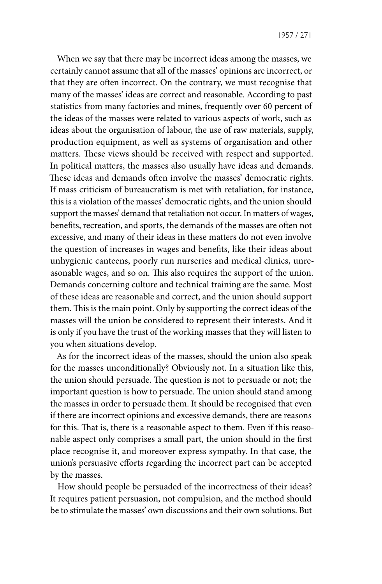When we say that there may be incorrect ideas among the masses, we certainly cannot assume that all of the masses' opinions are incorrect, or that they are often incorrect. On the contrary, we must recognise that many of the masses' ideas are correct and reasonable. According to past statistics from many factories and mines, frequently over 60 percent of the ideas of the masses were related to various aspects of work, such as ideas about the organisation of labour, the use of raw materials, supply, production equipment, as well as systems of organisation and other matters. These views should be received with respect and supported. In political matters, the masses also usually have ideas and demands. These ideas and demands often involve the masses' democratic rights. If mass criticism of bureaucratism is met with retaliation, for instance, this is a violation of the masses' democratic rights, and the union should support the masses' demand that retaliation not occur. In matters of wages, benefits, recreation, and sports, the demands of the masses are often not excessive, and many of their ideas in these matters do not even involve the question of increases in wages and benefits, like their ideas about unhygienic canteens, poorly run nurseries and medical clinics, unreasonable wages, and so on. This also requires the support of the union. Demands concerning culture and technical training are the same. Most of these ideas are reasonable and correct, and the union should support them. This is the main point. Only by supporting the correct ideas of the masses will the union be considered to represent their interests. And it is only if you have the trust of the working masses that they will listen to you when situations develop.

As for the incorrect ideas of the masses, should the union also speak for the masses unconditionally? Obviously not. In a situation like this, the union should persuade. The question is not to persuade or not; the important question is how to persuade. The union should stand among the masses in order to persuade them. It should be recognised that even if there are incorrect opinions and excessive demands, there are reasons for this. That is, there is a reasonable aspect to them. Even if this reasonable aspect only comprises a small part, the union should in the first place recognise it, and moreover express sympathy. In that case, the union's persuasive efforts regarding the incorrect part can be accepted by the masses.

How should people be persuaded of the incorrectness of their ideas? It requires patient persuasion, not compulsion, and the method should be to stimulate the masses' own discussions and their own solutions. But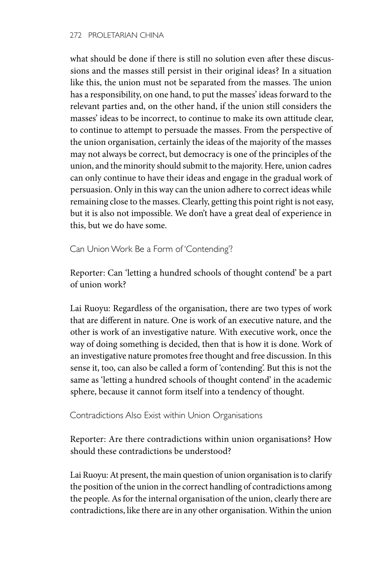what should be done if there is still no solution even after these discussions and the masses still persist in their original ideas? In a situation like this, the union must not be separated from the masses. The union has a responsibility, on one hand, to put the masses' ideas forward to the relevant parties and, on the other hand, if the union still considers the masses' ideas to be incorrect, to continue to make its own attitude clear, to continue to attempt to persuade the masses. From the perspective of the union organisation, certainly the ideas of the majority of the masses may not always be correct, but democracy is one of the principles of the union, and the minority should submit to the majority. Here, union cadres can only continue to have their ideas and engage in the gradual work of persuasion. Only in this way can the union adhere to correct ideas while remaining close to the masses. Clearly, getting this point right is not easy, but it is also not impossible. We don't have a great deal of experience in this, but we do have some.

Can Union Work Be a Form of 'Contending'?

Reporter: Can 'letting a hundred schools of thought contend' be a part of union work?

Lai Ruoyu: Regardless of the organisation, there are two types of work that are different in nature. One is work of an executive nature, and the other is work of an investigative nature. With executive work, once the way of doing something is decided, then that is how it is done. Work of an investigative nature promotes free thought and free discussion. In this sense it, too, can also be called a form of 'contending'. But this is not the same as 'letting a hundred schools of thought contend' in the academic sphere, because it cannot form itself into a tendency of thought.

Contradictions Also Exist within Union Organisations

Reporter: Are there contradictions within union organisations? How should these contradictions be understood?

Lai Ruoyu: At present, the main question of union organisation is to clarify the position of the union in the correct handling of contradictions among the people. As for the internal organisation of the union, clearly there are contradictions, like there are in any other organisation. Within the union